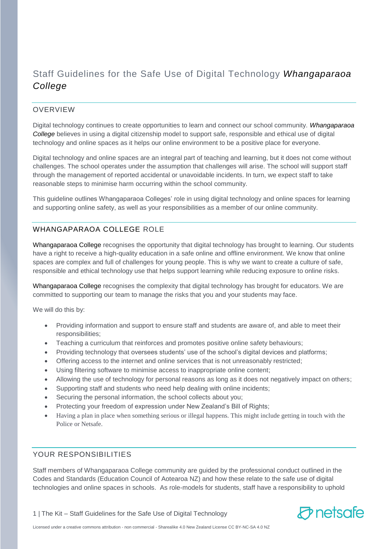# Staff Guidelines for the Safe Use of Digital Technology *Whangaparaoa College*

### OVERVIEW

Digital technology continues to create opportunities to learn and connect our school community. *Whangaparaoa College* believes in using a digital citizenship model to support safe, responsible and ethical use of digital technology and online spaces as it helps our online environment to be a positive place for everyone.

Digital technology and online spaces are an integral part of teaching and learning, but it does not come without challenges. The school operates under the assumption that challenges will arise. The school will support staff through the management of reported accidental or unavoidable incidents. In turn, we expect staff to take reasonable steps to minimise harm occurring within the school community.

This guideline outlines Whangaparaoa Colleges' role in using digital technology and online spaces for learning and supporting online safety, as well as your responsibilities as a member of our online community.

# WHANGAPARAOA COLLEGE ROLE

Whangaparaoa College recognises the opportunity that digital technology has brought to learning. Our students have a right to receive a high-quality education in a safe online and offline environment. We know that online spaces are complex and full of challenges for young people. This is why we want to create a culture of safe, responsible and ethical technology use that helps support learning while reducing exposure to online risks.

Whangaparaoa College recognises the complexity that digital technology has brought for educators. We are committed to supporting our team to manage the risks that you and your students may face.

We will do this by:

- Providing information and support to ensure staff and students are aware of, and able to meet their responsibilities;
- Teaching a curriculum that reinforces and promotes positive online safety behaviours;
- Providing technology that oversees students' use of the school's digital devices and platforms;
- Offering access to the internet and online services that is not unreasonably restricted;
- Using filtering software to minimise access to inappropriate online content;
- Allowing the use of technology for personal reasons as long as it does not negatively impact on others;
- Supporting staff and students who need help dealing with online incidents;
- Securing the personal information, the school collects about you;
- Protecting your freedom of expression under New Zealand's Bill of Rights;
- Having a plan in place when something serious or illegal happens. This might include getting in touch with the Police or Netsafe.

### YOUR RESPONSIBILITIES

Staff members of Whangaparaoa College community are guided by the professional conduct outlined in the Codes and Standards (Education Council of Aotearoa NZ) and how these relate to the safe use of digital technologies and online spaces in schools. As role-models for students, staff have a responsibility to uphold

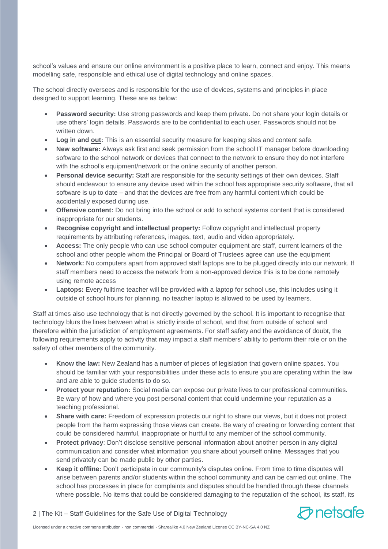school's values and ensure our online environment is a positive place to learn, connect and enjoy. This means modelling safe, responsible and ethical use of digital technology and online spaces.

The school directly oversees and is responsible for the use of devices, systems and principles in place designed to support learning. These are as below:

- **Password security:** Use strong passwords and keep them private. Do not share your login details or use others' login details. Passwords are to be confidential to each user. Passwords should not be written down.
- **Log in and out:** This is an essential security measure for keeping sites and content safe.
- **New software:** Always ask first and seek permission from the school IT manager before downloading software to the school network or devices that connect to the network to ensure they do not interfere with the school's equipment/network or the online security of another person.
- **Personal device security:** Staff are responsible for the security settings of their own devices. Staff should endeavour to ensure any device used within the school has appropriate security software, that all software is up to date – and that the devices are free from any harmful content which could be accidentally exposed during use.
- **Offensive content:** Do not bring into the school or add to school systems content that is considered inappropriate for our students.
- **Recognise copyright and intellectual property:** Follow copyright and intellectual property requirements by attributing references, images, text, audio and video appropriately.
- **Access:** The only people who can use school computer equipment are staff, current learners of the school and other people whom the Principal or Board of Trustees agree can use the equipment
- **Network:** No computers apart from approved staff laptops are to be plugged directly into our network. If staff members need to access the network from a non-approved device this is to be done remotely using remote access
- **Laptops:** Every fulltime teacher will be provided with a laptop for school use, this includes using it outside of school hours for planning, no teacher laptop is allowed to be used by learners.

Staff at times also use technology that is not directly governed by the school. It is important to recognise that technology blurs the lines between what is strictly inside of school, and that from outside of school and therefore within the jurisdiction of employment agreements. For staff safety and the avoidance of doubt, the following requirements apply to activity that may impact a staff members' ability to perform their role or on the safety of other members of the community.

- **Know the law:** New Zealand has a number of pieces of legislation that govern online spaces. You should be familiar with your responsibilities under these acts to ensure you are operating within the law and are able to guide students to do so.
- **Protect your reputation:** Social media can expose our private lives to our professional communities. Be wary of how and where you post personal content that could undermine your reputation as a teaching professional.
- **Share with care:** Freedom of expression protects our right to share our views, but it does not protect people from the harm expressing those views can create. Be wary of creating or forwarding content that could be considered harmful, inappropriate or hurtful to any member of the school community.
- **Protect privacy**: Don't disclose sensitive personal information about another person in any digital communication and consider what information you share about yourself online. Messages that you send privately can be made public by other parties.
- **Keep it offline:** Don't participate in our community's disputes online. From time to time disputes will arise between parents and/or students within the school community and can be carried out online. The school has processes in place for complaints and disputes should be handled through these channels where possible. No items that could be considered damaging to the reputation of the school, its staff, its

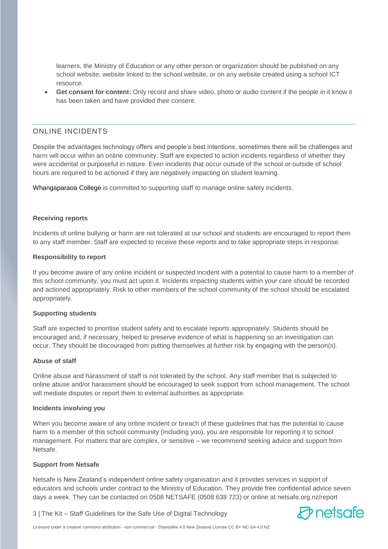learners, the Ministry of Education or any other person or organization should be published on any school website, website linked to the school website, or on any website created using a school ICT resource.

 **Get consent for content:** Only record and share video, photo or audio content if the people in it know it has been taken and have provided their consent.

### ONLINE INCIDENTS

Despite the advantages technology offers and people's best intentions, sometimes there will be challenges and harm will occur within an online community. Staff are expected to action incidents regardless of whether they were accidental or purposeful in nature. Even incidents that occur outside of the school or outside of school hours are required to be actioned if they are negatively impacting on student learning.

Whangaparaoa College is committed to supporting staff to manage online safety incidents.

#### **Receiving reports**

Incidents of online bullying or harm are not tolerated at our school and students are encouraged to report them to any staff member. Staff are expected to receive these reports and to take appropriate steps in response.

#### **Responsibility to report**

If you become aware of any online incident or suspected incident with a potential to cause harm to a member of this school community, you must act upon it. Incidents impacting students within your care should be recorded and actioned appropriately. Risk to other members of the school community of the school should be escalated appropriately.

#### **Supporting students**

Staff are expected to prioritise student safety and to escalate reports appropriately. Students should be encouraged and, if necessary, helped to preserve evidence of what is happening so an investigation can occur. They should be discouraged from putting themselves at further risk by engaging with the person(s).

#### **Abuse of staff**

Online abuse and harassment of staff is not tolerated by the school. Any staff member that is subjected to online abuse and/or harassment should be encouraged to seek support from school management. The school will mediate disputes or report them to external authorities as appropriate.

#### **Incidents involving you**

When you become aware of any online incident or breach of these guidelines that has the potential to cause harm to a member of this school community (including you), you are responsible for reporting it to school management. For matters that are complex, or sensitive – we recommend seeking advice and support from Netsafe.

#### **Support from Netsafe**

Netsafe is New Zealand's independent online safety organisation and it provides services in support of educators and schools under contract to the Ministry of Education. They provide free confidential advice seven days a week. They can be contacted on 0508 NETSAFE (0508 638 723) or online at netsafe.org.nz/report